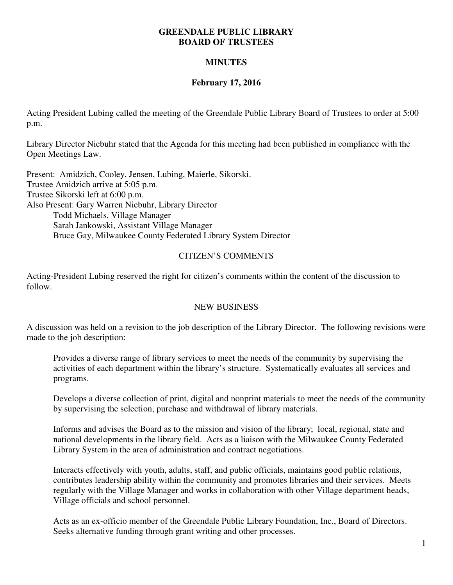#### **GREENDALE PUBLIC LIBRARY BOARD OF TRUSTEES**

# **MINUTES**

# **February 17, 2016**

Acting President Lubing called the meeting of the Greendale Public Library Board of Trustees to order at 5:00 p.m.

Library Director Niebuhr stated that the Agenda for this meeting had been published in compliance with the Open Meetings Law.

Present: Amidzich, Cooley, Jensen, Lubing, Maierle, Sikorski. Trustee Amidzich arrive at 5:05 p.m. Trustee Sikorski left at 6:00 p.m. Also Present: Gary Warren Niebuhr, Library Director Todd Michaels, Village Manager Sarah Jankowski, Assistant Village Manager Bruce Gay, Milwaukee County Federated Library System Director

# CITIZEN'S COMMENTS

Acting-President Lubing reserved the right for citizen's comments within the content of the discussion to follow.

## NEW BUSINESS

A discussion was held on a revision to the job description of the Library Director. The following revisions were made to the job description:

Provides a diverse range of library services to meet the needs of the community by supervising the activities of each department within the library's structure. Systematically evaluates all services and programs.

Develops a diverse collection of print, digital and nonprint materials to meet the needs of the community by supervising the selection, purchase and withdrawal of library materials.

Informs and advises the Board as to the mission and vision of the library; local, regional, state and national developments in the library field. Acts as a liaison with the Milwaukee County Federated Library System in the area of administration and contract negotiations.

Interacts effectively with youth, adults, staff, and public officials, maintains good public relations, contributes leadership ability within the community and promotes libraries and their services. Meets regularly with the Village Manager and works in collaboration with other Village department heads, Village officials and school personnel.

Acts as an ex-officio member of the Greendale Public Library Foundation, Inc., Board of Directors. Seeks alternative funding through grant writing and other processes.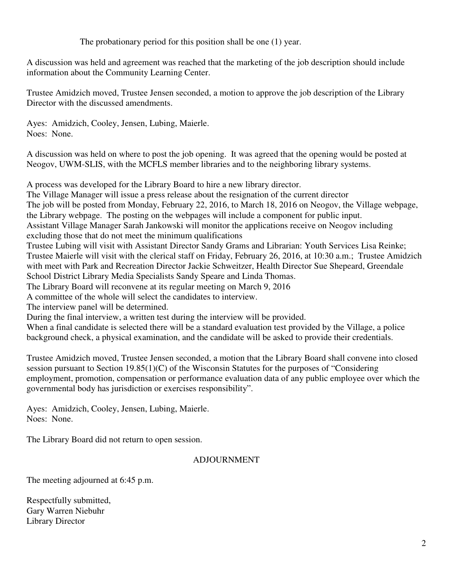The probationary period for this position shall be one (1) year.

A discussion was held and agreement was reached that the marketing of the job description should include information about the Community Learning Center.

Trustee Amidzich moved, Trustee Jensen seconded, a motion to approve the job description of the Library Director with the discussed amendments.

Ayes: Amidzich, Cooley, Jensen, Lubing, Maierle. Noes: None.

A discussion was held on where to post the job opening. It was agreed that the opening would be posted at Neogov, UWM-SLIS, with the MCFLS member libraries and to the neighboring library systems.

A process was developed for the Library Board to hire a new library director.

The Village Manager will issue a press release about the resignation of the current director The job will be posted from Monday, February 22, 2016, to March 18, 2016 on Neogov, the Village webpage, the Library webpage. The posting on the webpages will include a component for public input.

Assistant Village Manager Sarah Jankowski will monitor the applications receive on Neogov including excluding those that do not meet the minimum qualifications

Trustee Lubing will visit with Assistant Director Sandy Grams and Librarian: Youth Services Lisa Reinke; Trustee Maierle will visit with the clerical staff on Friday, February 26, 2016, at 10:30 a.m.; Trustee Amidzich with meet with Park and Recreation Director Jackie Schweitzer, Health Director Sue Shepeard, Greendale School District Library Media Specialists Sandy Speare and Linda Thomas.

The Library Board will reconvene at its regular meeting on March 9, 2016

A committee of the whole will select the candidates to interview.

The interview panel will be determined.

During the final interview, a written test during the interview will be provided.

When a final candidate is selected there will be a standard evaluation test provided by the Village, a police background check, a physical examination, and the candidate will be asked to provide their credentials.

Trustee Amidzich moved, Trustee Jensen seconded, a motion that the Library Board shall convene into closed session pursuant to Section 19.85(1)(C) of the Wisconsin Statutes for the purposes of "Considering employment, promotion, compensation or performance evaluation data of any public employee over which the governmental body has jurisdiction or exercises responsibility".

Ayes: Amidzich, Cooley, Jensen, Lubing, Maierle. Noes: None.

The Library Board did not return to open session.

## ADJOURNMENT

The meeting adjourned at 6:45 p.m.

Respectfully submitted, Gary Warren Niebuhr Library Director